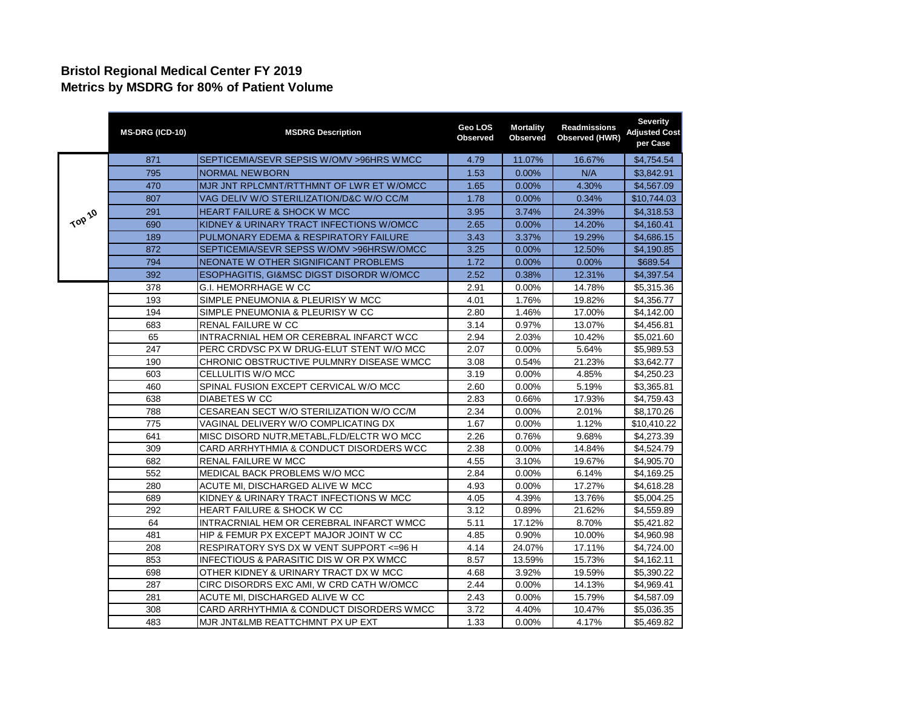## **Bristol Regional Medical Center FY 2019 Metrics by MSDRG for 80% of Patient Volume**

|        | MS-DRG (ICD-10) | <b>MSDRG Description</b>                            | Geo LOS<br>Observed | <b>Mortality</b><br>Observed | Readmissions<br>Observed (HWR) | <b>Severity</b><br>Adjusted Cost<br>per Case |
|--------|-----------------|-----------------------------------------------------|---------------------|------------------------------|--------------------------------|----------------------------------------------|
|        | 871             | SEPTICEMIA/SEVR SEPSIS W/OMV > 96HRS WMCC           | 4.79                | 11.07%                       | 16.67%                         | \$4,754.54                                   |
|        | 795             | <b>NORMAL NEWBORN</b>                               | 1.53                | 0.00%                        | N/A                            | \$3,842.91                                   |
|        | 470             | MJR JNT RPLCMNT/RTTHMNT OF LWR ET W/OMCC            | 1.65                | 0.00%                        | 4.30%                          | \$4,567.09                                   |
|        | 807             | VAG DELIV W/O STERILIZATION/D&C W/O CC/M            | 1.78                | 0.00%                        | 0.34%                          | \$10,744.03                                  |
|        | 291             | <b>HEART FAILURE &amp; SHOCK W MCC</b>              | 3.95                | 3.74%                        | 24.39%                         | \$4,318.53                                   |
| TOP 10 | 690             | KIDNEY & URINARY TRACT INFECTIONS W/OMCC            | 2.65                | $0.00\%$                     | 14.20%                         | \$4,160.41                                   |
|        | 189             | PULMONARY EDEMA & RESPIRATORY FAILURE               | 3.43                | 3.37%                        | 19.29%                         | \$4,686.15                                   |
|        | 872             | SEPTICEMIA/SEVR SEPSS W/OMV >96HRSW/OMCC            | 3.25                | 0.00%                        | 12.50%                         | \$4,190.85                                   |
|        | 794             | NEONATE W OTHER SIGNIFICANT PROBLEMS                | 1.72                | 0.00%                        | 0.00%                          | \$689.54                                     |
|        | 392             | <b>ESOPHAGITIS, GI&amp;MSC DIGST DISORDR W/OMCC</b> | 2.52                | 0.38%                        | 12.31%                         | \$4,397.54                                   |
|        | 378             | G.I. HEMORRHAGE W CC                                | 2.91                | 0.00%                        | 14.78%                         | \$5,315.36                                   |
|        | 193             | SIMPLE PNEUMONIA & PLEURISY W MCC                   | 4.01                | 1.76%                        | 19.82%                         | \$4,356.77                                   |
|        | 194             | SIMPLE PNEUMONIA & PLEURISY W CC                    | 2.80                | 1.46%                        | 17.00%                         | \$4,142.00                                   |
|        | 683             | <b>RENAL FAILURE W CC</b>                           | 3.14                | 0.97%                        | 13.07%                         | \$4,456.81                                   |
|        | 65              | INTRACRNIAL HEM OR CEREBRAL INFARCT WCC             | 2.94                | 2.03%                        | 10.42%                         | \$5,021.60                                   |
|        | 247             | PERC CRDVSC PX W DRUG-ELUT STENT W/O MCC            | 2.07                | 0.00%                        | 5.64%                          | \$5,989.53                                   |
|        | 190             | CHRONIC OBSTRUCTIVE PULMNRY DISEASE WMCC            | 3.08                | 0.54%                        | 21.23%                         | \$3,642.77                                   |
|        | 603             | CELLULITIS W/O MCC                                  | 3.19                | 0.00%                        | 4.85%                          | \$4,250.23                                   |
|        | 460             | SPINAL FUSION EXCEPT CERVICAL W/O MCC               | 2.60                | 0.00%                        | 5.19%                          | \$3,365.81                                   |
|        | 638             | DIABETES W CC                                       | 2.83                | 0.66%                        | 17.93%                         | \$4,759.43                                   |
|        | 788             | CESAREAN SECT W/O STERILIZATION W/O CC/M            | 2.34                | 0.00%                        | 2.01%                          | \$8,170.26                                   |
|        | 775             | VAGINAL DELIVERY W/O COMPLICATING DX                | 1.67                | 0.00%                        | 1.12%                          | \$10,410.22                                  |
|        | 641             | MISC DISORD NUTR, METABL, FLD/ELCTR WO MCC          | 2.26                | 0.76%                        | 9.68%                          | \$4,273.39                                   |
|        | 309             | CARD ARRHYTHMIA & CONDUCT DISORDERS WCC             | 2.38                | 0.00%                        | 14.84%                         | \$4,524.79                                   |
|        | 682             | RENAL FAILURE W MCC                                 | 4.55                | 3.10%                        | 19.67%                         | \$4,905.70                                   |
|        | 552             | MEDICAL BACK PROBLEMS W/O MCC                       | 2.84                | 0.00%                        | 6.14%                          | \$4,169.25                                   |
|        | 280             | ACUTE MI, DISCHARGED ALIVE W MCC                    | 4.93                | 0.00%                        | 17.27%                         | \$4,618.28                                   |
|        | 689             | KIDNEY & URINARY TRACT INFECTIONS W MCC             | 4.05                | 4.39%                        | 13.76%                         | \$5,004.25                                   |
|        | 292             | <b>HEART FAILURE &amp; SHOCK W CC</b>               | 3.12                | 0.89%                        | 21.62%                         | \$4,559.89                                   |
|        | 64              | INTRACRNIAL HEM OR CEREBRAL INFARCT WMCC            | 5.11                | 17.12%                       | 8.70%                          | \$5,421.82                                   |
|        | 481             | HIP & FEMUR PX EXCEPT MAJOR JOINT W CC              | 4.85                | 0.90%                        | 10.00%                         | \$4,960.98                                   |
|        | 208             | RESPIRATORY SYS DX W VENT SUPPORT <= 96 H           | 4.14                | 24.07%                       | 17.11%                         | \$4,724.00                                   |
|        | 853             | INFECTIOUS & PARASITIC DIS W OR PX WMCC             | 8.57                | 13.59%                       | 15.73%                         | \$4,162.11                                   |
|        | 698             | OTHER KIDNEY & URINARY TRACT DX W MCC               | 4.68                | 3.92%                        | 19.59%                         | \$5,390.22                                   |
|        | 287             | CIRC DISORDRS EXC AMI, W CRD CATH W/OMCC            | 2.44                | 0.00%                        | 14.13%                         | \$4,969.41                                   |
|        | 281             | ACUTE MI, DISCHARGED ALIVE W CC                     | 2.43                | 0.00%                        | 15.79%                         | \$4,587.09                                   |
|        | 308             | CARD ARRHYTHMIA & CONDUCT DISORDERS WMCC            | 3.72                | 4.40%                        | 10.47%                         | \$5,036.35                                   |
|        | 483             | MJR JNT&LMB REATTCHMNT PX UP EXT                    | 1.33                | $0.00\%$                     | 4.17%                          | \$5,469.82                                   |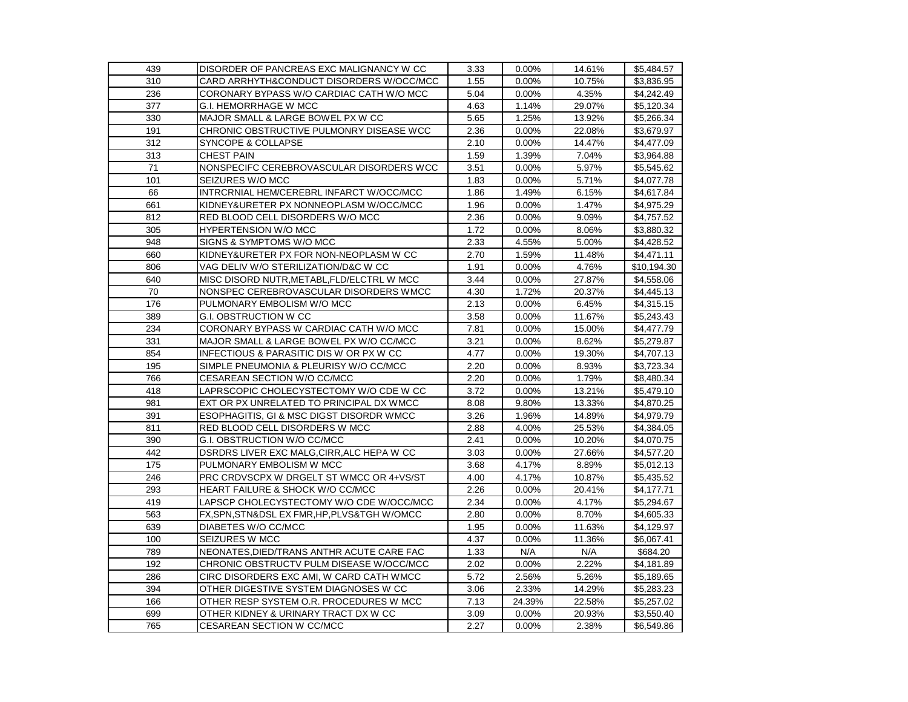| 439 | DISORDER OF PANCREAS EXC MALIGNANCY W CC     | 3.33 | 0.00%  | 14.61% | \$5,484.57  |
|-----|----------------------------------------------|------|--------|--------|-------------|
| 310 | CARD ARRHYTH&CONDUCT DISORDERS W/OCC/MCC     | 1.55 | 0.00%  | 10.75% | \$3,836.95  |
| 236 | CORONARY BYPASS W/O CARDIAC CATH W/O MCC     | 5.04 | 0.00%  | 4.35%  | \$4,242.49  |
| 377 | G.I. HEMORRHAGE W MCC                        | 4.63 | 1.14%  | 29.07% | \$5,120.34  |
| 330 | MAJOR SMALL & LARGE BOWEL PX W CC            | 5.65 | 1.25%  | 13.92% | \$5,266.34  |
| 191 | CHRONIC OBSTRUCTIVE PULMONRY DISEASE WCC     | 2.36 | 0.00%  | 22.08% | \$3,679.97  |
| 312 | SYNCOPE & COLLAPSE                           | 2.10 | 0.00%  | 14.47% | \$4,477.09  |
| 313 | <b>CHEST PAIN</b>                            | 1.59 | 1.39%  | 7.04%  | \$3,964.88  |
| 71  | NONSPECIFC CEREBROVASCULAR DISORDERS WCC     | 3.51 | 0.00%  | 5.97%  | \$5,545.62  |
| 101 | SEIZURES W/O MCC                             | 1.83 | 0.00%  | 5.71%  | \$4,077.78  |
| 66  | INTRCRNIAL HEM/CEREBRL INFARCT W/OCC/MCC     | 1.86 | 1.49%  | 6.15%  | \$4,617.84  |
| 661 | KIDNEY&URETER PX NONNEOPLASM W/OCC/MCC       | 1.96 | 0.00%  | 1.47%  | \$4,975.29  |
| 812 | RED BLOOD CELL DISORDERS W/O MCC             | 2.36 | 0.00%  | 9.09%  | \$4,757.52  |
| 305 | HYPERTENSION W/O MCC                         | 1.72 | 0.00%  | 8.06%  | \$3,880.32  |
| 948 | SIGNS & SYMPTOMS W/O MCC                     | 2.33 | 4.55%  | 5.00%  | \$4,428.52  |
| 660 | KIDNEY&URETER PX FOR NON-NEOPLASM W CC       | 2.70 | 1.59%  | 11.48% | \$4,471.11  |
| 806 | VAG DELIV W/O STERILIZATION/D&C W CC         | 1.91 | 0.00%  | 4.76%  | \$10,194.30 |
| 640 | MISC DISORD NUTR, METABL, FLD/ELCTRL W MCC   | 3.44 | 0.00%  | 27.87% | \$4,558.06  |
| 70  | NONSPEC CEREBROVASCULAR DISORDERS WMCC       | 4.30 | 1.72%  | 20.37% | \$4,445.13  |
| 176 | PULMONARY EMBOLISM W/O MCC                   | 2.13 | 0.00%  | 6.45%  | \$4,315.15  |
| 389 | G.I. OBSTRUCTION W CC                        | 3.58 | 0.00%  | 11.67% | \$5,243.43  |
| 234 | CORONARY BYPASS W CARDIAC CATH W/O MCC       | 7.81 | 0.00%  | 15.00% | \$4,477.79  |
| 331 | MAJOR SMALL & LARGE BOWEL PX W/O CC/MCC      | 3.21 | 0.00%  | 8.62%  | \$5,279.87  |
| 854 | INFECTIOUS & PARASITIC DIS W OR PX W CC      | 4.77 | 0.00%  | 19.30% | \$4,707.13  |
| 195 | SIMPLE PNEUMONIA & PLEURISY W/O CC/MCC       | 2.20 | 0.00%  | 8.93%  | \$3,723.34  |
| 766 | CESAREAN SECTION W/O CC/MCC                  | 2.20 | 0.00%  | 1.79%  | \$8,480.34  |
| 418 | LAPRSCOPIC CHOLECYSTECTOMY W/O CDE W CC      | 3.72 | 0.00%  | 13.21% | \$5,479.10  |
| 981 | EXT OR PX UNRELATED TO PRINCIPAL DX WMCC     | 8.08 | 9.80%  | 13.33% | \$4,870.25  |
| 391 | ESOPHAGITIS, GI & MSC DIGST DISORDR WMCC     | 3.26 | 1.96%  | 14.89% | \$4,979.79  |
| 811 | RED BLOOD CELL DISORDERS W MCC               | 2.88 | 4.00%  | 25.53% | \$4,384.05  |
| 390 | G.I. OBSTRUCTION W/O CC/MCC                  | 2.41 | 0.00%  | 10.20% | \$4,070.75  |
| 442 | DSRDRS LIVER EXC MALG.CIRR.ALC HEPA W CC     | 3.03 | 0.00%  | 27.66% | \$4,577.20  |
| 175 | PULMONARY EMBOLISM W MCC                     | 3.68 | 4.17%  | 8.89%  | \$5,012.13  |
| 246 | PRC CRDVSCPX W DRGELT ST WMCC OR 4+VS/ST     | 4.00 | 4.17%  | 10.87% | \$5,435.52  |
| 293 | <b>HEART FAILURE &amp; SHOCK W/O CC/MCC</b>  | 2.26 | 0.00%  | 20.41% | \$4,177.71  |
| 419 | LAPSCP CHOLECYSTECTOMY W/O CDE W/OCC/MCC     | 2.34 | 0.00%  | 4.17%  | \$5,294.67  |
| 563 | FX, SPN, STN&DSL EX FMR, HP, PLVS&TGH W/OMCC | 2.80 | 0.00%  | 8.70%  | \$4,605.33  |
| 639 | DIABETES W/O CC/MCC                          | 1.95 | 0.00%  | 11.63% | \$4,129.97  |
| 100 | SEIZURES W MCC                               | 4.37 | 0.00%  | 11.36% | \$6,067.41  |
| 789 | NEONATES,DIED/TRANS ANTHR ACUTE CARE FAC     | 1.33 | N/A    | N/A    | \$684.20    |
| 192 | CHRONIC OBSTRUCTV PULM DISEASE W/OCC/MCC     | 2.02 | 0.00%  | 2.22%  | \$4,181.89  |
| 286 | CIRC DISORDERS EXC AMI, W CARD CATH WMCC     | 5.72 | 2.56%  | 5.26%  | \$5,189.65  |
| 394 | OTHER DIGESTIVE SYSTEM DIAGNOSES W CC        | 3.06 | 2.33%  | 14.29% | \$5,283.23  |
| 166 | OTHER RESP SYSTEM O.R. PROCEDURES W MCC      | 7.13 | 24.39% | 22.58% | \$5,257.02  |
| 699 | OTHER KIDNEY & URINARY TRACT DX W CC         | 3.09 | 0.00%  | 20.93% | \$3,550.40  |
| 765 | CESAREAN SECTION W CC/MCC                    | 2.27 | 0.00%  | 2.38%  | \$6,549.86  |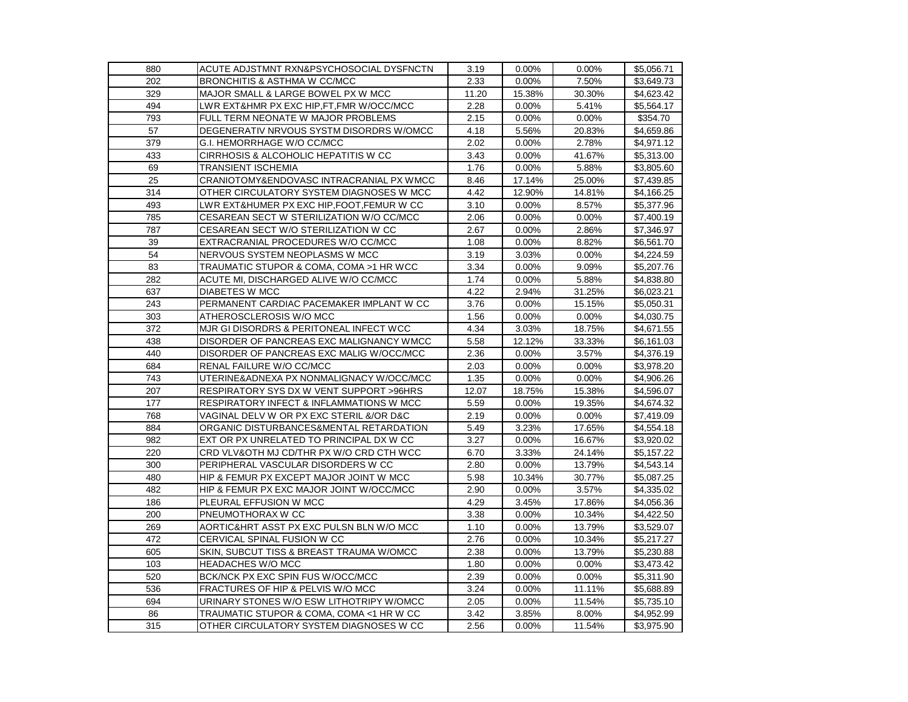| 880 | ACUTE ADJSTMNT RXN&PSYCHOSOCIAL DYSFNCTN  | 3.19  | 0.00%    | 0.00%  | \$5,056.71 |
|-----|-------------------------------------------|-------|----------|--------|------------|
| 202 | <b>BRONCHITIS &amp; ASTHMA W CC/MCC</b>   | 2.33  | 0.00%    | 7.50%  | \$3,649.73 |
| 329 | MAJOR SMALL & LARGE BOWEL PX W MCC        | 11.20 | 15.38%   | 30.30% | \$4,623.42 |
| 494 | LWR EXT&HMR PX EXC HIP,FT,FMR W/OCC/MCC   | 2.28  | $0.00\%$ | 5.41%  | \$5,564.17 |
| 793 | FULL TERM NEONATE W MAJOR PROBLEMS        | 2.15  | 0.00%    | 0.00%  | \$354.70   |
| 57  | DEGENERATIV NRVOUS SYSTM DISORDRS W/OMCC  | 4.18  | 5.56%    | 20.83% | \$4,659.86 |
| 379 | G.I. HEMORRHAGE W/O CC/MCC                | 2.02  | 0.00%    | 2.78%  | \$4,971.12 |
| 433 | CIRRHOSIS & ALCOHOLIC HEPATITIS W CC      | 3.43  | 0.00%    | 41.67% | \$5,313.00 |
| 69  | TRANSIENT ISCHEMIA                        | 1.76  | 0.00%    | 5.88%  | \$3,805.60 |
| 25  | CRANIOTOMY&ENDOVASC INTRACRANIAL PX WMCC  | 8.46  | 17.14%   | 25.00% | \$7,439.85 |
| 314 | OTHER CIRCULATORY SYSTEM DIAGNOSES W MCC  | 4.42  | 12.90%   | 14.81% | \$4,166.25 |
| 493 | LWR EXT&HUMER PX EXC HIP,FOOT,FEMUR W CC  | 3.10  | 0.00%    | 8.57%  | \$5,377.96 |
| 785 | CESAREAN SECT W STERILIZATION W/O CC/MCC  | 2.06  | 0.00%    | 0.00%  | \$7,400.19 |
| 787 | CESAREAN SECT W/O STERILIZATION W CC      | 2.67  | 0.00%    | 2.86%  | \$7,346.97 |
| 39  | EXTRACRANIAL PROCEDURES W/O CC/MCC        | 1.08  | 0.00%    | 8.82%  | \$6,561.70 |
| 54  | NERVOUS SYSTEM NEOPLASMS W MCC            | 3.19  | 3.03%    | 0.00%  | \$4,224.59 |
| 83  | TRAUMATIC STUPOR & COMA, COMA >1 HR WCC   | 3.34  | 0.00%    | 9.09%  | \$5,207.76 |
| 282 | ACUTE MI, DISCHARGED ALIVE W/O CC/MCC     | 1.74  | 0.00%    | 5.88%  | \$4,838.80 |
| 637 | DIABETES W MCC                            | 4.22  | 2.94%    | 31.25% | \$6,023.21 |
| 243 | PERMANENT CARDIAC PACEMAKER IMPLANT W CC  | 3.76  | 0.00%    | 15.15% | \$5,050.31 |
| 303 | ATHEROSCLEROSIS W/O MCC                   | 1.56  | 0.00%    | 0.00%  | \$4,030.75 |
| 372 | MJR GI DISORDRS & PERITONEAL INFECT WCC   | 4.34  | 3.03%    | 18.75% | \$4,671.55 |
| 438 | DISORDER OF PANCREAS EXC MALIGNANCY WMCC  | 5.58  | 12.12%   | 33.33% | \$6,161.03 |
| 440 | DISORDER OF PANCREAS EXC MALIG W/OCC/MCC  | 2.36  | 0.00%    | 3.57%  | \$4,376.19 |
| 684 | RENAL FAILURE W/O CC/MCC                  | 2.03  | 0.00%    | 0.00%  | \$3,978.20 |
| 743 | UTERINE&ADNEXA PX NONMALIGNACY W/OCC/MCC  | 1.35  | 0.00%    | 0.00%  | \$4,906.26 |
| 207 | RESPIRATORY SYS DX W VENT SUPPORT > 96HRS | 12.07 | 18.75%   | 15.38% | \$4,596.07 |
| 177 | RESPIRATORY INFECT & INFLAMMATIONS W MCC  | 5.59  | 0.00%    | 19.35% | \$4,674.32 |
| 768 | VAGINAL DELV W OR PX EXC STERIL &/OR D&C  | 2.19  | 0.00%    | 0.00%  | \$7,419.09 |
| 884 | ORGANIC DISTURBANCES&MENTAL RETARDATION   | 5.49  | 3.23%    | 17.65% | \$4,554.18 |
| 982 | EXT OR PX UNRELATED TO PRINCIPAL DX W CC  | 3.27  | 0.00%    | 16.67% | \$3,920.02 |
| 220 | CRD VLV&OTH MJ CD/THR PX W/O CRD CTH WCC  | 6.70  | 3.33%    | 24.14% | \$5,157.22 |
| 300 | PERIPHERAL VASCULAR DISORDERS W CC        | 2.80  | 0.00%    | 13.79% | \$4,543.14 |
| 480 | HIP & FEMUR PX EXCEPT MAJOR JOINT W MCC   | 5.98  | 10.34%   | 30.77% | \$5,087.25 |
| 482 | HIP & FEMUR PX EXC MAJOR JOINT W/OCC/MCC  | 2.90  | 0.00%    | 3.57%  | \$4,335.02 |
| 186 | PLEURAL EFFUSION W MCC                    | 4.29  | 3.45%    | 17.86% | \$4,056.36 |
| 200 | PNEUMOTHORAX W CC                         | 3.38  | 0.00%    | 10.34% | \$4,422.50 |
| 269 | AORTIC&HRT ASST PX EXC PULSN BLN W/O MCC  | 1.10  | 0.00%    | 13.79% | \$3,529.07 |
| 472 | CERVICAL SPINAL FUSION W CC               | 2.76  | 0.00%    | 10.34% | \$5,217.27 |
| 605 | SKIN, SUBCUT TISS & BREAST TRAUMA W/OMCC  | 2.38  | 0.00%    | 13.79% | \$5,230.88 |
| 103 | <b>HEADACHES W/O MCC</b>                  | 1.80  | 0.00%    | 0.00%  | \$3,473.42 |
| 520 | BCK/NCK PX EXC SPIN FUS W/OCC/MCC         | 2.39  | 0.00%    | 0.00%  | \$5,311.90 |
| 536 | FRACTURES OF HIP & PELVIS W/O MCC         | 3.24  | 0.00%    | 11.11% | \$5,688.89 |
| 694 | URINARY STONES W/O ESW LITHOTRIPY W/OMCC  | 2.05  | 0.00%    | 11.54% | \$5,735.10 |
| 86  | TRAUMATIC STUPOR & COMA, COMA <1 HR W CC  | 3.42  | 3.85%    | 8.00%  | \$4,952.99 |
| 315 | OTHER CIRCULATORY SYSTEM DIAGNOSES W CC   | 2.56  | 0.00%    | 11.54% | \$3,975.90 |